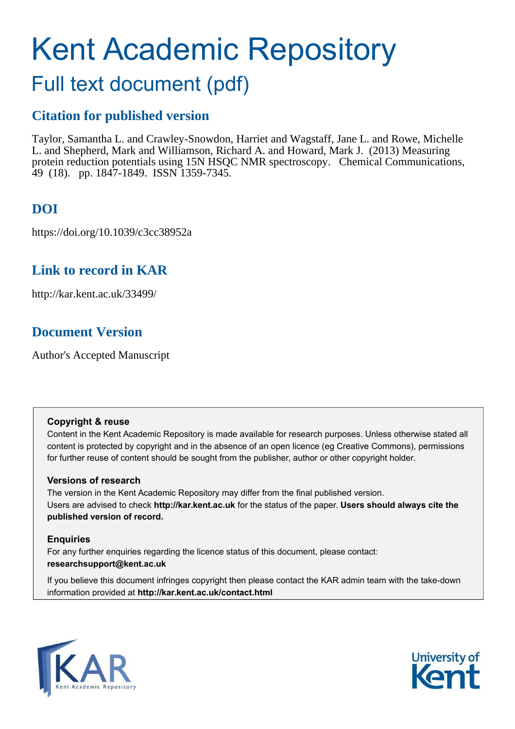# Kent Academic Repository

## Full text document (pdf)

## **Citation for published version**

Taylor, Samantha L. and Crawley-Snowdon, Harriet and Wagstaff, Jane L. and Rowe, Michelle L. and Shepherd, Mark and Williamson, Richard A. and Howard, Mark J. (2013) Measuring protein reduction potentials using 15N HSQC NMR spectroscopy. Chemical Communications, 49 (18). pp. 1847-1849. ISSN 1359-7345.

## **DOI**

https://doi.org/10.1039/c3cc38952a

## **Link to record in KAR**

http://kar.kent.ac.uk/33499/

### **Document Version**

Author's Accepted Manuscript

#### **Copyright & reuse**

Content in the Kent Academic Repository is made available for research purposes. Unless otherwise stated all content is protected by copyright and in the absence of an open licence (eg Creative Commons), permissions for further reuse of content should be sought from the publisher, author or other copyright holder.

#### **Versions of research**

The version in the Kent Academic Repository may differ from the final published version. Users are advised to check **http://kar.kent.ac.uk** for the status of the paper. **Users should always cite the published version of record.**

#### **Enquiries**

For any further enquiries regarding the licence status of this document, please contact: **researchsupport@kent.ac.uk**

If you believe this document infringes copyright then please contact the KAR admin team with the take-down information provided at **http://kar.kent.ac.uk/contact.html**



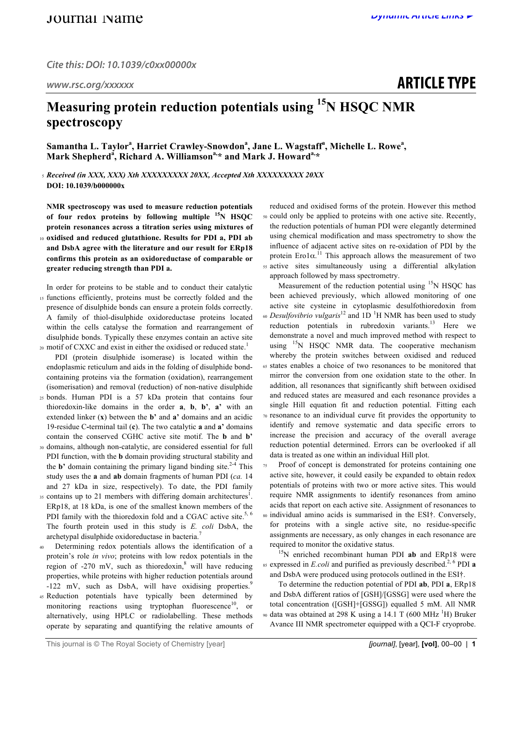## **ARTICLE TYPE**

## **Measuring protein reduction potentials using <sup>15</sup>N HSQC NMR spectroscopy**

Samantha L. Taylor<sup>a</sup>, Harriet Crawley-Snowdon<sup>a</sup>, Jane L. Wagstaff<sup>a</sup>, Michelle L. Rowe<sup>a</sup>, **Mark Shepherd<sup>a</sup> , Richard A. Williamsona,\* and Mark J. Howarda,\***

<sup>5</sup> *Received (in XXX, XXX) Xth XXXXXXXXX 20XX, Accepted Xth XXXXXXXXX 20XX* **DOI: 10.1039/b000000x**

**NMR spectroscopy was used to measure reduction potentials of four redox proteins by following multiple <sup>15</sup>N HSQC protein resonances across a titration series using mixtures of** 

- <sup>10</sup> **oxidised and reduced glutathione. Results for PDI a, PDI ab and DsbA agree with the literature and our result for ERp18 confirms this protein as an oxidoreductase of comparable or greater reducing strength than PDI a.**
- In order for proteins to be stable and to conduct their catalytic <sup>15</sup> functions efficiently, proteins must be correctly folded and the presence of disulphide bonds can ensure a protein folds correctly. A family of thiol-disulphide oxidoreductase proteins located within the cells catalyse the formation and rearrangement of disulphide bonds. Typically these enzymes contain an active site 20 motif of CXXC and exist in either the oxidised or reduced state.<sup>1</sup>
- PDI (protein disulphide isomerase) is located within the endoplasmic reticulum and aids in the folding of disulphide bondcontaining proteins via the formation (oxidation), rearrangement (isomerisation) and removal (reduction) of non-native disulphide
- <sup>25</sup> bonds. Human PDI is a 57 kDa protein that contains four thioredoxin-like domains in the order **a**, **b**, **b'**, **a'** with an extended linker (**x**) between the **b'** and **a'** domains and an acidic 19-residue C**-**terminal tail (**c**). The two catalytic **a** and **a'** domains contain the conserved CGHC active site motif. The **b** and **b'**
- <sup>30</sup> domains, although non-catalytic, are considered essential for full PDI function, with the **b** domain providing structural stability and the **b'** domain containing the primary ligand binding site. 2-4 This study uses the **a** and **ab** domain fragments of human PDI (*ca.* 14 and 27 kDa in size, respectively). To date, the PDI family
- $35$  contains up to 21 members with differing domain architectures<sup>1</sup>. ERp18, at 18 kDa, is one of the smallest known members of the PDI family with the thioredoxin fold and a CGAC active site.<sup>5, 6</sup> The fourth protein used in this study is *E. coli* DsbA, the archetypal disulphide oxidoreductase in bacteria.<sup>7</sup>
- Determining redox potentials allows the identification of a protein's role *in vivo*; proteins with low redox potentials in the region of -270 mV, such as thioredoxin,<sup>8</sup> will have reducing properties, while proteins with higher reduction potentials around -122 mV, such as DsbA, will have oxidising properties.<sup>9</sup>
- <sup>45</sup> Reduction potentials have typically been determined by monitoring reactions using tryptophan fluorescence<sup>10</sup>, or alternatively, using HPLC or radiolabelling. These methods operate by separating and quantifying the relative amounts of

reduced and oxidised forms of the protein. However this method <sup>50</sup> could only be applied to proteins with one active site. Recently, the reduction potentials of human PDI were elegantly determined using chemical modification and mass spectrometry to show the influence of adjacent active sites on re-oxidation of PDI by the protein Ero1 $\alpha$ .<sup>11</sup> This approach allows the measurement of two <sup>55</sup> active sites simultaneously using a differential alkylation approach followed by mass spectrometry.

Measurement of the reduction potential using  $15N$  HSQC has been achieved previously, which allowed monitoring of one active site cysteine in cytoplasmic desulfothioredoxin from <sup>60</sup> Desulfovibrio vulgaris<sup>12</sup> and 1D<sup>-1</sup>H NMR has been used to study reduction potentials in rubredoxin variants.<sup>13</sup> Here we demonstrate a novel and much improved method with respect to using  $15N$  HSQC NMR data. The cooperative mechanism whereby the protein switches between oxidised and reduced <sup>65</sup> states enables a choice of two resonances to be monitored that mirror the conversion from one oxidation state to the other. In addition, all resonances that significantly shift between oxidised and reduced states are measured and each resonance provides a single Hill equation fit and reduction potential. Fitting each <sup>70</sup> resonance to an individual curve fit provides the opportunity to identify and remove systematic and data specific errors to increase the precision and accuracy of the overall average reduction potential determined. Errors can be overlooked if all data is treated as one within an individual Hill plot.

<sup>75</sup> Proof of concept is demonstrated for proteins containing one active site, however, it could easily be expanded to obtain redox potentials of proteins with two or more active sites. This would require NMR assignments to identify resonances from amino acids that report on each active site. Assignment of resonances to <sup>80</sup> individual amino acids is summarised in the ESI†. Conversely, for proteins with a single active site, no residue-specific

assignments are necessary, as only changes in each resonance are required to monitor the oxidative status. <sup>15</sup>N enriched recombinant human PDI **ab** and ERp18 were

expressed in *E.coli* and purified as previously described. 2, 6 <sup>85</sup> PDI **a** and DsbA were produced using protocols outlined in the ESI†.

To determine the reduction potential of PDI **ab**, PDI **a**, ERp18 and DsbA different ratios of [GSH]/[GSSG] were used where the total concentration ([GSH]+[GSSG]) equalled 5 mM. All NMR % data was obtained at 298 K using a 14.1 T (600 MHz  $^1$ H) Bruker Avance III NMR spectrometer equipped with a QCI-F cryoprobe.

This journal is © The Royal Society of Chemistry [year] *[journal]*, [year], **[vol]**, 00–00 | **1**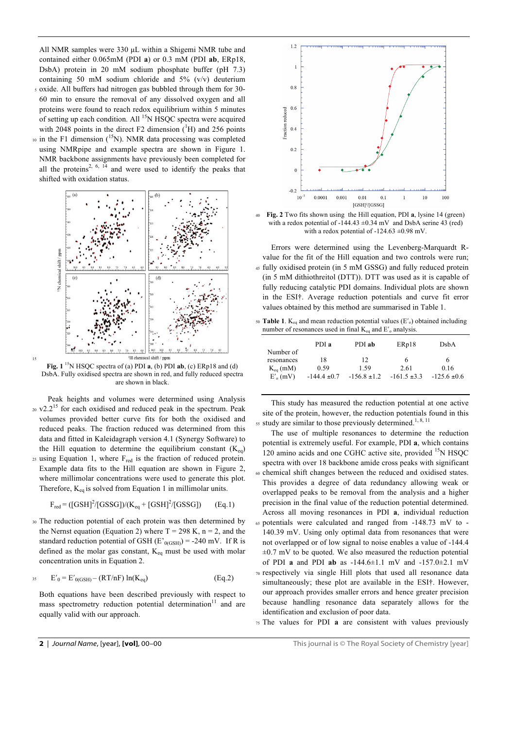All NMR samples were 330 µL within a Shigemi NMR tube and contained either 0.065mM (PDI **a**) or 0.3 mM (PDI **ab**, ERp18, DsbA) protein in 20 mM sodium phosphate buffer (pH 7.3) containing 50 mM sodium chloride and 5% (v/v) deuterium

- <sup>5</sup> oxide. All buffers had nitrogen gas bubbled through them for 30- 60 min to ensure the removal of any dissolved oxygen and all proteins were found to reach redox equilibrium within 5 minutes of setting up each condition. All <sup>15</sup>N HSQC spectra were acquired with 2048 points in the direct F2 dimension  $({}^{1}H)$  and 256 points  $10$  in the F1 dimension ( $15$ N). NMR data processing was completed
- using NMRpipe and example spectra are shown in Figure 1. NMR backbone assignments have previously been completed for all the proteins<sup>2, 6,  $\overline{14}$ </sup> and were used to identify the peaks that shifted with oxidation status.



**Fig.**  $1^{15}N$  HSQC spectra of (a) PDI **a**, (b) PDI **ab**, (c) ERp18 and (d) DsbA. Fully oxidised spectra are shown in red, and fully reduced spectra are shown in black.

15

Peak heights and volumes were determined using Analysis  $20 \text{ V2.2}^{15}$  for each oxidised and reduced peak in the spectrum. Peak volumes provided better curve fits for both the oxidised and reduced peaks. The fraction reduced was determined from this data and fitted in Kaleidagraph version 4.1 (Synergy Software) to the Hill equation to determine the equilibrium constant  $(K_{eq})$ 25 using Equation 1, where F<sub>red</sub> is the fraction of reduced protein. Example data fits to the Hill equation are shown in Figure 2, where millimolar concentrations were used to generate this plot. Therefore,  $K_{eq}$  is solved from Equation 1 in millimolar units.

$$
F_{\text{red}} = ([GSH]^2 / [GSSG]) / (K_{\text{eq}} + [GSH]^2 / [GSSG])
$$
 (Eq.1)

<sup>30</sup> The reduction potential of each protein was then determined by the Nernst equation (Equation 2) where  $T = 298$  K,  $n = 2$ , and the standard reduction potential of GSH  $(E'_{0(GSH)}) = -240$  mV. If R is defined as the molar gas constant,  $K_{eq}$  must be used with molar concentration units in Equation 2.

$$
E'_{0} = E'_{0(GSH)} - (RT/nF) \ln(K_{eq})
$$
 (Eq.2)

Both equations have been described previously with respect to mass spectrometry reduction potential determination<sup>11</sup> and are equally valid with our approach.



<sup>40</sup> **Fig. 2** Two fits shown using the Hill equation, PDI **a**, lysine 14 (green) with a redox potential of -144.43  $\pm$ 0.34 mV and DsbA serine 43 (red) with a redox potential of -124.63  $\pm$ 0.98 mV.

- Errors were determined using the Levenberg-Marquardt Rvalue for the fit of the Hill equation and two controls were run; <sup>45</sup> fully oxidised protein (in 5 mM GSSG) and fully reduced protein (in 5 mM dithiothreitol (DTT)). DTT was used as it is capable of fully reducing catalytic PDI domains. Individual plots are shown in the ESI†. Average reduction potentials and curve fit error values obtained by this method are summarised in Table 1.
- 50 **Table 1**.  $K_{eq}$  and mean reduction potential values ( $E'_{o}$ ) obtained including number of resonances used in final  $K_{eq}$  and  $E'$ <sub>o</sub> analysis.

|               | PDI a            | PDI ab           | ERp18            | DsbA             |
|---------------|------------------|------------------|------------------|------------------|
| Number of     |                  |                  |                  |                  |
| resonances    | 18               | 12               | 6                | 6                |
| $K_{eq}$ (mM) | 0.59             | 1.59             | 2.61             | 0.16             |
| $E'_{o}$ (mV) | $-144.4 \pm 0.7$ | $-156.8 \pm 1.2$ | $-161.5 \pm 3.3$ | $-125.6 \pm 0.6$ |

This study has measured the reduction potential at one active site of the protein, however, the reduction potentials found in this  $55$  study are similar to those previously determined.<sup>1, 8, 11</sup>

The use of multiple resonances to determine the reduction potential is extremely useful. For example, PDI **a**, which contains 120 amino acids and one CGHC active site, provided <sup>15</sup>N HSQC spectra with over 18 backbone amide cross peaks with significant <sup>60</sup> chemical shift changes between the reduced and oxidised states. This provides a degree of data redundancy allowing weak or overlapped peaks to be removal from the analysis and a higher precision in the final value of the reduction potential determined. Across all moving resonances in PDI **a**, individual reduction <sup>65</sup> potentials were calculated and ranged from -148.73 mV to - 140.39 mV. Using only optimal data from resonances that were not overlapped or of low signal to noise enables a value of -144.4  $\pm 0.7$  mV to be quoted. We also measured the reduction potential of PDI **a** and PDI **ab** as -144.6±1.1 mV and -157.0±2.1 mV <sup>70</sup> respectively via single Hill plots that used all resonance data simultaneously; these plot are available in the ESI†. However, our approach provides smaller errors and hence greater precision because handling resonance data separately allows for the

identification and exclusion of poor data. <sup>75</sup> The values for PDI **a** are consistent with values previously